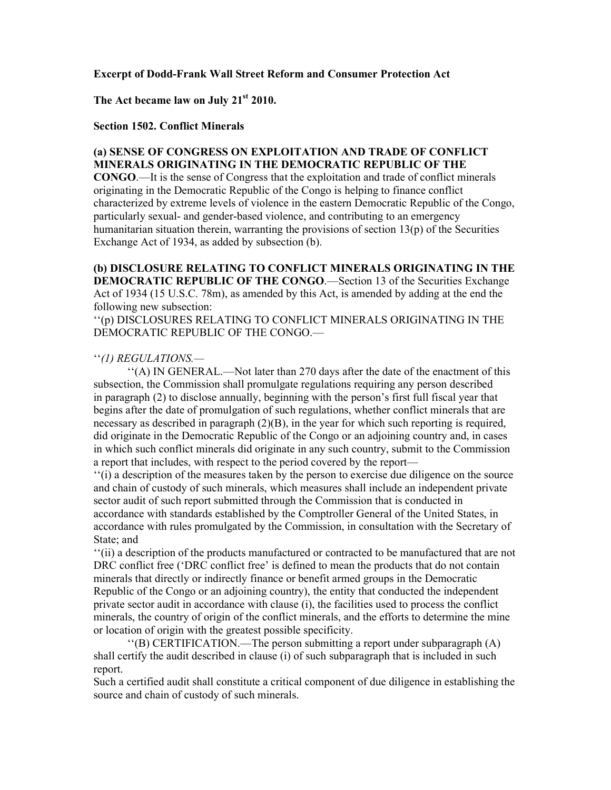#### **Excerpt of Dodd-Frank Wall Street Reform and Consumer Protection Act**

# **The Act became law on July 21st 2010.**

#### **Section 1502. Conflict Minerals**

### **(a) SENSE OF CONGRESS ON EXPLOITATION AND TRADE OF CONFLICT MINERALS ORIGINATING IN THE DEMOCRATIC REPUBLIC OF THE**

**CONGO**.—It is the sense of Congress that the exploitation and trade of conflict minerals originating in the Democratic Republic of the Congo is helping to finance conflict characterized by extreme levels of violence in the eastern Democratic Republic of the Congo, particularly sexual- and gender-based violence, and contributing to an emergency humanitarian situation therein, warranting the provisions of section  $13(p)$  of the Securities Exchange Act of 1934, as added by subsection (b).

**(b) DISCLOSURE RELATING TO CONFLICT MINERALS ORIGINATING IN THE DEMOCRATIC REPUBLIC OF THE CONGO.—Section 13 of the Securities Exchange** Act of 1934 (15 U.S.C. 78m), as amended by this Act, is amended by adding at the end the following new subsection:

''(p) DISCLOSURES RELATING TO CONFLICT MINERALS ORIGINATING IN THE DEMOCRATIC REPUBLIC OF THE CONGO.—

### ''*(1) REGULATIONS.—*

''(A) IN GENERAL.—Not later than 270 days after the date of the enactment of this subsection, the Commission shall promulgate regulations requiring any person described in paragraph (2) to disclose annually, beginning with the person's first full fiscal year that begins after the date of promulgation of such regulations, whether conflict minerals that are necessary as described in paragraph  $(2)(B)$ , in the year for which such reporting is required, did originate in the Democratic Republic of the Congo or an adjoining country and, in cases in which such conflict minerals did originate in any such country, submit to the Commission a report that includes, with respect to the period covered by the report—

''(i) a description of the measures taken by the person to exercise due diligence on the source and chain of custody of such minerals, which measures shall include an independent private sector audit of such report submitted through the Commission that is conducted in accordance with standards established by the Comptroller General of the United States, in accordance with rules promulgated by the Commission, in consultation with the Secretary of State; and

''(ii) a description of the products manufactured or contracted to be manufactured that are not DRC conflict free ('DRC conflict free' is defined to mean the products that do not contain minerals that directly or indirectly finance or benefit armed groups in the Democratic Republic of the Congo or an adjoining country), the entity that conducted the independent private sector audit in accordance with clause (i), the facilities used to process the conflict minerals, the country of origin of the conflict minerals, and the efforts to determine the mine or location of origin with the greatest possible specificity.

''(B) CERTIFICATION.—The person submitting a report under subparagraph (A) shall certify the audit described in clause (i) of such subparagraph that is included in such report.

Such a certified audit shall constitute a critical component of due diligence in establishing the source and chain of custody of such minerals.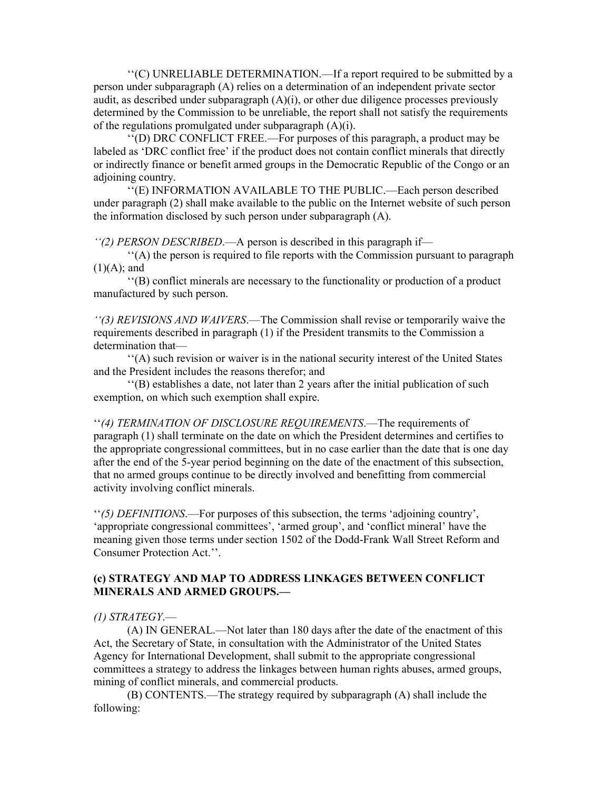''(C) UNRELIABLE DETERMINATION.—If a report required to be submitted by a person under subparagraph (A) relies on a determination of an independent private sector audit, as described under subparagraph  $(A)(i)$ , or other due diligence processes previously determined by the Commission to be unreliable, the report shall not satisfy the requirements of the regulations promulgated under subparagraph  $(A)(i)$ .

''(D) DRC CONFLICT FREE.—For purposes of this paragraph, a product may be labeled as 'DRC conflict free' if the product does not contain conflict minerals that directly or indirectly finance or benefit armed groups in the Democratic Republic of the Congo or an adjoining country.

''(E) INFORMATION AVAILABLE TO THE PUBLIC.—Each person described under paragraph (2) shall make available to the public on the Internet website of such person the information disclosed by such person under subparagraph (A).

*''(2) PERSON DESCRIBED*.—A person is described in this paragraph if—

''(A) the person is required to file reports with the Commission pursuant to paragraph  $(1)(A)$ ; and

''(B) conflict minerals are necessary to the functionality or production of a product manufactured by such person.

*''(3) REVISIONS AND WAIVERS*.—The Commission shall revise or temporarily waive the requirements described in paragraph (1) if the President transmits to the Commission a determination that—

''(A) such revision or waiver is in the national security interest of the United States and the President includes the reasons therefor; and

''(B) establishes a date, not later than 2 years after the initial publication of such exemption, on which such exemption shall expire.

''*(4) TERMINATION OF DISCLOSURE REQUIREMENTS*.—The requirements of paragraph (1) shall terminate on the date on which the President determines and certifies to the appropriate congressional committees, but in no case earlier than the date that is one day after the end of the 5-year period beginning on the date of the enactment of this subsection, that no armed groups continue to be directly involved and benefitting from commercial activity involving conflict minerals.

''*(5) DEFINITIONS*.—For purposes of this subsection, the terms 'adjoining country', 'appropriate congressional committees', 'armed group', and 'conflict mineral' have the meaning given those terms under section 1502 of the Dodd-Frank Wall Street Reform and Consumer Protection Act.''.

# **(c) STRATEGY AND MAP TO ADDRESS LINKAGES BETWEEN CONFLICT MINERALS AND ARMED GROUPS.—**

#### *(1) STRATEGY*.—

(A) IN GENERAL.—Not later than 180 days after the date of the enactment of this Act, the Secretary of State, in consultation with the Administrator of the United States Agency for International Development, shall submit to the appropriate congressional committees a strategy to address the linkages between human rights abuses, armed groups, mining of conflict minerals, and commercial products.

(B) CONTENTS.—The strategy required by subparagraph (A) shall include the following: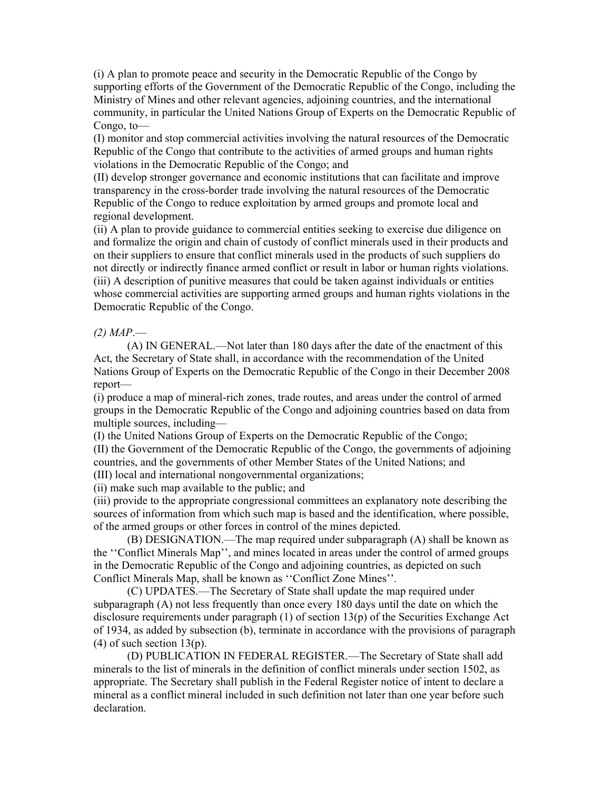(i) A plan to promote peace and security in the Democratic Republic of the Congo by supporting efforts of the Government of the Democratic Republic of the Congo, including the Ministry of Mines and other relevant agencies, adjoining countries, and the international community, in particular the United Nations Group of Experts on the Democratic Republic of Congo, to—

(I) monitor and stop commercial activities involving the natural resources of the Democratic Republic of the Congo that contribute to the activities of armed groups and human rights violations in the Democratic Republic of the Congo; and

(II) develop stronger governance and economic institutions that can facilitate and improve transparency in the cross-border trade involving the natural resources of the Democratic Republic of the Congo to reduce exploitation by armed groups and promote local and regional development.

(ii) A plan to provide guidance to commercial entities seeking to exercise due diligence on and formalize the origin and chain of custody of conflict minerals used in their products and on their suppliers to ensure that conflict minerals used in the products of such suppliers do not directly or indirectly finance armed conflict or result in labor or human rights violations. (iii) A description of punitive measures that could be taken against individuals or entities whose commercial activities are supporting armed groups and human rights violations in the Democratic Republic of the Congo.

# *(2) MAP*.—

(A) IN GENERAL.—Not later than 180 days after the date of the enactment of this Act, the Secretary of State shall, in accordance with the recommendation of the United Nations Group of Experts on the Democratic Republic of the Congo in their December 2008 report—

(i) produce a map of mineral-rich zones, trade routes, and areas under the control of armed groups in the Democratic Republic of the Congo and adjoining countries based on data from multiple sources, including—

(I) the United Nations Group of Experts on the Democratic Republic of the Congo;

(II) the Government of the Democratic Republic of the Congo, the governments of adjoining countries, and the governments of other Member States of the United Nations; and (III) local and international nongovernmental organizations;

(ii) make such map available to the public; and

(iii) provide to the appropriate congressional committees an explanatory note describing the sources of information from which such map is based and the identification, where possible, of the armed groups or other forces in control of the mines depicted.

(B) DESIGNATION.—The map required under subparagraph (A) shall be known as the ''Conflict Minerals Map'', and mines located in areas under the control of armed groups in the Democratic Republic of the Congo and adjoining countries, as depicted on such Conflict Minerals Map, shall be known as ''Conflict Zone Mines''.

(C) UPDATES.—The Secretary of State shall update the map required under subparagraph (A) not less frequently than once every 180 days until the date on which the disclosure requirements under paragraph (1) of section 13(p) of the Securities Exchange Act of 1934, as added by subsection (b), terminate in accordance with the provisions of paragraph  $(4)$  of such section 13(p).

(D) PUBLICATION IN FEDERAL REGISTER.—The Secretary of State shall add minerals to the list of minerals in the definition of conflict minerals under section 1502, as appropriate. The Secretary shall publish in the Federal Register notice of intent to declare a mineral as a conflict mineral included in such definition not later than one year before such declaration.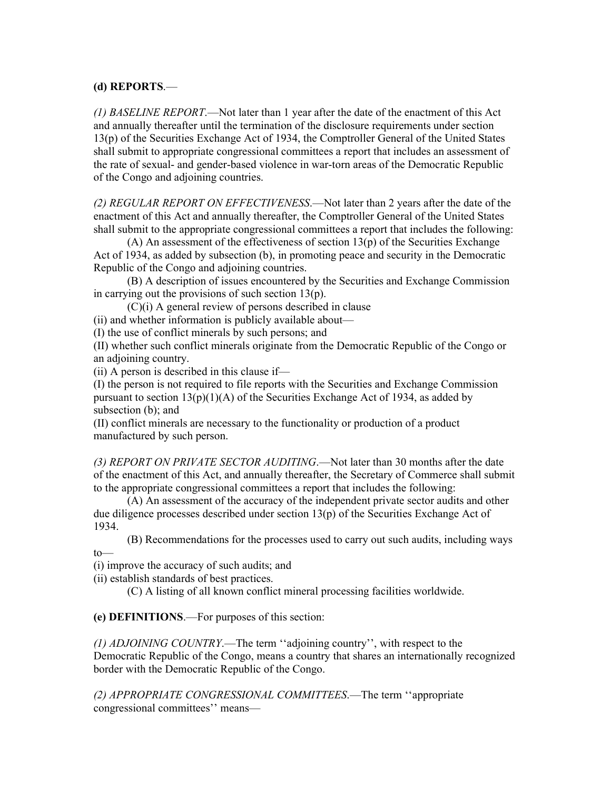# **(d) REPORTS**.—

*(1) BASELINE REPORT*.—Not later than 1 year after the date of the enactment of this Act and annually thereafter until the termination of the disclosure requirements under section 13(p) of the Securities Exchange Act of 1934, the Comptroller General of the United States shall submit to appropriate congressional committees a report that includes an assessment of the rate of sexual- and gender-based violence in war-torn areas of the Democratic Republic of the Congo and adjoining countries.

*(2) REGULAR REPORT ON EFFECTIVENESS*.—Not later than 2 years after the date of the enactment of this Act and annually thereafter, the Comptroller General of the United States shall submit to the appropriate congressional committees a report that includes the following:

 $(A)$  An assessment of the effectiveness of section 13(p) of the Securities Exchange Act of 1934, as added by subsection (b), in promoting peace and security in the Democratic Republic of the Congo and adjoining countries.

(B) A description of issues encountered by the Securities and Exchange Commission in carrying out the provisions of such section 13(p).

(C)(i) A general review of persons described in clause

(ii) and whether information is publicly available about—

(I) the use of conflict minerals by such persons; and

(II) whether such conflict minerals originate from the Democratic Republic of the Congo or an adjoining country.

(ii) A person is described in this clause if—

(I) the person is not required to file reports with the Securities and Exchange Commission pursuant to section  $13(p)(1)(A)$  of the Securities Exchange Act of 1934, as added by subsection (b); and

(II) conflict minerals are necessary to the functionality or production of a product manufactured by such person.

*(3) REPORT ON PRIVATE SECTOR AUDITING*.—Not later than 30 months after the date of the enactment of this Act, and annually thereafter, the Secretary of Commerce shall submit to the appropriate congressional committees a report that includes the following:

(A) An assessment of the accuracy of the independent private sector audits and other due diligence processes described under section 13(p) of the Securities Exchange Act of 1934.

(B) Recommendations for the processes used to carry out such audits, including ways to—

(i) improve the accuracy of such audits; and

(ii) establish standards of best practices.

(C) A listing of all known conflict mineral processing facilities worldwide.

**(e) DEFINITIONS**.—For purposes of this section:

*(1) ADJOINING COUNTRY*.—The term ''adjoining country'', with respect to the Democratic Republic of the Congo, means a country that shares an internationally recognized border with the Democratic Republic of the Congo.

*(2) APPROPRIATE CONGRESSIONAL COMMITTEES*.—The term ''appropriate congressional committees'' means—